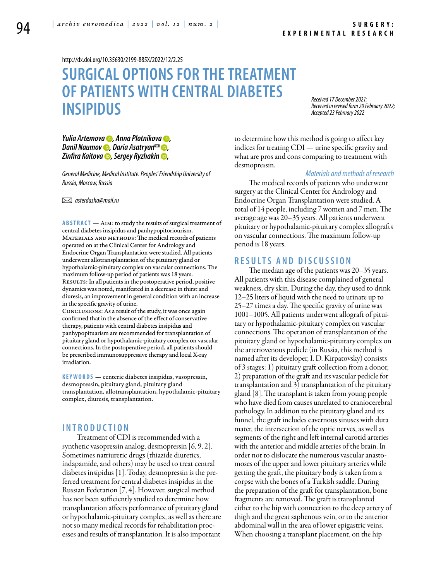<http://dx.doi.org/10.35630/2199-885X/2022/12/2.25>

# **SURGICAL OPTIONS FOR THE TREATMENT OF PATIENTS WITH CENTRAL DIABETES INSIPIDUS**

*Received 17 December 2021; Received in revised form 20 February 2022; Accepted 23 February 2022*

*[Yulia Artemova](https://orcid.org/0000-0001-9554-6732) , [Anna Plotnikova](https://orcid.org/0000-0003-4352-3154) , [Danil Naumov](https://orcid.org/0000-0002-0206-1371)* **•**, *[Daria Asatryan](https://orcid.org/0000-0002-9997-378X)*<sup>⊠</sup> •, *[Zinfira Kaitova](https://orcid.org/0000-0003-2294-6254) , [Sergey Ryzhakin](https://orcid.org/0000-0003-1646-5841) ,*

*General Medicine, Medical Institute. Peoples' Friendship University of Russia, Moscow, Russia* 

 *asterdasha@mail.ru*

**Abstract** — Aim: to study the results of surgical treatment of central diabetes insipidus and panhypopitoriourism. MATERIALS AND METHODS: The medical records of patients operated on at the Clinical Center for Andrology and Endocrine Organ Transplantation were studied. All patients underwent allotransplantation of the pituitary gland or hypothalamic-pituitary complex on vascular connections. The maximum follow-up period of patients was 18 years. RESULTS: In all patients in the postoperative period, positive dynamics was noted, manifested in a decrease in thirst and diuresis, an improvement in general condition with an increase in the specific gravity of urine. Conclusions: As a result of the study, it was once again

confirmed that in the absence of the effect of conservative therapy, patients with central diabetes insipidus and panhypopituarism are recommended for transplantation of pituitary gland or hypothalamic-pituitary complex on vascular connections. In the postoperative period, all patients should be prescribed immunosuppressive therapy and local X-ray irradiation.

**K eywords** — centeric diabetes insipidus, vasopressin, desmopressin, pituitary gland, pituitary gland transplantation, allotransplantation, hypothalamic-pituitary complex, diuresis, transplantation.

# **I n t r o ducti o n**

Treatment of CDI is recommended with a synthetic vasopressin analog, desmopressin  $(6, 9, 2)$ . Sometimes natriuretic drugs (thiazide diuretics, indapamide, and others) may be used to treat central diabetes insipidus [1]. Today, desmopressin is the preferred treatment for central diabetes insipidus in the Russian Federation [7, 4]. However, surgical method has not been sufficiently studied to determine how transplantation affects performance of pituitary gland or hypothalamic-pituitary complex, as well as there are not so many medical records for rehabilitation processes and results of transplantation. It is also important

to determine how this method is going to affect key indices for treating CDI — urine specific gravity and what are pros and cons comparing to treatment with desmopressin.

#### *Materials and methods of research*

The medical records of patients who underwent surgery at the Clinical Center for Andrology and Endocrine Organ Transplantation were studied. A total of 14 people, including 7 women and 7 men. The average age was 20–35 years. All patients underwent pituitary or hypothalamic-pituitary complex allografts on vascular connections. The maximum follow-up period is 18 years.

## **R e s ult s a n d discu s si o n**

The median age of the patients was 20–35 years. All patients with this disease complained of general weakness, dry skin. During the day, they used to drink 12–25 liters of liquid with the need to urinate up to 25–27 times a day. The specific gravity of urine was 1001–1005. All patients underwent allograft of pituitary or hypothalamic-pituitary complex on vascular connections. The operation of transplantation of the pituitary gland or hypothalamic-pituitary complex on the arteriovenous pedicle (in Russia, this method is named after its developer, I. D. Kirpatovsky) consists of 3 stages: 1) pituitary graft collection from a donor, 2) preparation of the graft and its vascular pedicle for transplantation and 3) transplantation of the pituitary gland [8]. The transplant is taken from young people who have died from causes unrelated to craniocerebral pathology. In addition to the pituitary gland and its funnel, the graft includes cavernous sinuses with dura mater, the intersection of the optic nerves, as well as segments of the right and left internal carotid arteries with the anterior and middle arteries of the brain. In order not to dislocate the numerous vascular anastomoses of the upper and lower pituitary arteries while getting the graft, the pituitary body is taken from a corpse with the bones of a Turkish saddle. During the preparation of the graft for transplantation, bone fragments are removed. The graft is transplanted either to the hip with connection to the deep artery of thigh and the great saphenous vein, or to the anterior abdominal wall in the area of lower epigastric veins. When choosing a transplant placement, on the hip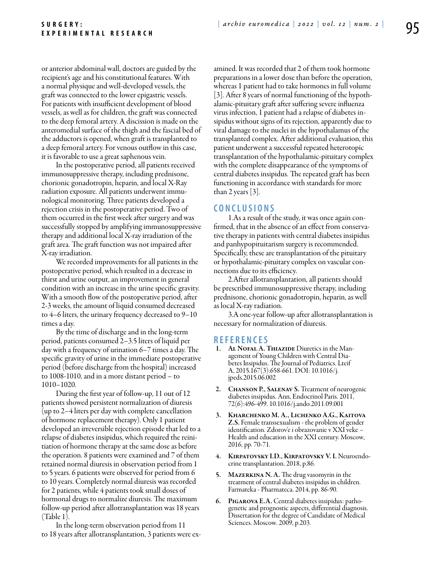or anterior abdominal wall, doctors are guided by the recipient's age and his constitutional features. With a normal physique and well-developed vessels, the graft was connected to the lower epigastric vessels. For patients with insufficient development of blood vessels, as well as for children, the graft was connected to the deep femoral artery. A discission is made on the anteromedial surface of the thigh and the fascial bed of the adductors is opened, when graft is transplanted to a deep femoral artery. For venous outflow in this case, it is favorable to use a great saphenous vein.

In the postoperative period, all patients received immunosuppressive therapy, including prednisone, chorionic gonadotropin, heparin, and local X-Ray radiation exposure. All patients underwent immunological monitoring. Three patients developed a rejection crisis in the postoperative period. Two of them occurred in the first week after surgery and was successfully stopped by amplifying immunosuppressive therapy and additional local X-ray irradiation of the graft area. The graft function was not impaired after X-ray irradiation.

We recorded improvements for all patients in the postoperative period, which resulted in a decrease in thirst and urine output, an improvement in general condition with an increase in the urine specific gravity. With a smooth flow of the postoperative period, after 2-3 weeks, the amount of liquid consumed decreased to 4–6 liters, the urinary frequency decreased to 9–10 times a day.

By the time of discharge and in the long-term period, patients consumed 2–3.5 liters of liquid per day with a frequency of urination 6–7 times a day. The specific gravity of urine in the immediate postoperative period (before discharge from the hospital) increased to 1008-1010, and in a more distant period – to 1010–1020.

During the first year of follow-up, 11 out of 12 patients showed persistent normalization of diuresis (up to 2–4 liters per day with complete cancellation of hormone replacement therapy). Only 1 patient developed an irreversible rejection episode that led to a relapse of diabetes insipidus, which required the reinitiation of hormone therapy at the same dose as before the operation. 8 patients were examined and 7 of them retained normal diuresis in observation period from 1 to 5 years. 6 patients were observed for period from 6 to 10 years. Completely normal diuresis was recorded for 2 patients, while 4 patients took small doses of hormonal drugs to normalize diuresis. The maximum follow-up period after allotransplantation was 18 years  $(Table 1)$ 

In the long-term observation period from 11 to 18 years after allotransplantation, 3 patients were examined. It was recorded that 2 of them took hormone preparations in a lower dose than before the operation, whereas 1 patient had to take hormones in full volume [3]. After 8 years of normal functioning of the hypothalamic-pituitary graft after suffering severe influenza virus infection, 1 patient had a relapse of diabetes insipidus without signs of its rejection, apparently due to viral damage to the nuclei in the hypothalamus of the transplanted complex. After additional evaluation, this patient underwent a successful repeated heterotopic transplantation of the hypothalamic-pituitary complex with the complete disappearance of the symptoms of central diabetes insipidus. The repeated graft has been functioning in accordance with standards for more than 2 years [3].

## **C o n clu si o n s**

1.As a result of the study, it was once again confirmed, that in the absence of an effect from conservative therapy in patients with central diabetes insipidus and panhypopituitarism surgery is recommended. Specifically, these are transplantation of the pituitary or hypothalamic-pituitary complex on vascular connections due to its efficiency.

2.After allotransplantation, all patients should be prescribed immunosuppressive therapy, including prednisone, chorionic gonadotropin, heparin, as well as local X-ray radiation.

3.A one-year follow-up after allotransplantation is necessary for normalization of diuresis.

#### **R efe r e n ce s**

- 1. AL NOFAL A. THIAZIDE Diuretics in the Management of Young Children with Central Diabetes Insipidus. The Journal of Pediatrics. Lteif A, 2015.167(3):658-661. DOI: 10.1016/j. jpeds.2015.06.002
- 2. Chanson P., Salenav S. Treatment of neurogenic diabetes insipidus. Ann, Endocrinol Paris. 2011, 72(6):496-499. 10.1016/j.ando.2011.09.001
- 3. Kharchenko M. A., Lichenko A.G., Kaitova Z.S. Female transsexualism - the problem of gender identification. Zdorov'e i obrazovanie v XXI veke – Health and education in the XXI century. Moscow, 2016, pp. 70-71.
- 4. Kirpatovsky I.D., Kirpatovsky V. I. Neuroendo- crine transplantation. 2018, p.86.
- 5. Mazerkina N. A. The drug vasomyrin in the treatment of central diabetes insipidus in children. Farmateka - Pharmateca. 2014, pp. 86-90.
- 6. Pigarova E.A. Central diabetes insipidus: pathogenetic and prognostic aspects, differential diagnosis. Dissertation for the degree of Candidate of Medical Sciences. Moscow. 2009, p.203.